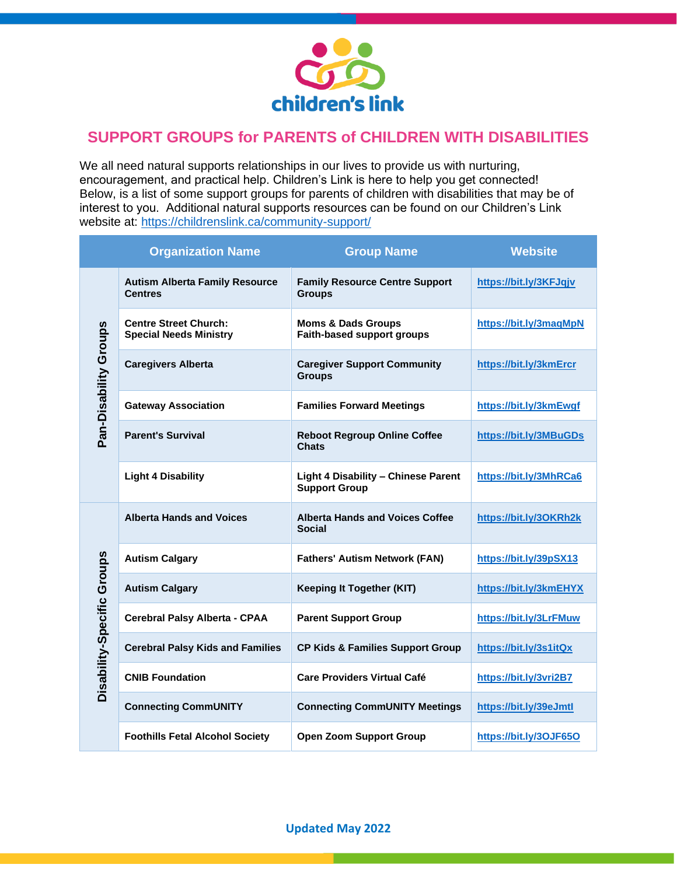

## **SUPPORT GROUPS for PARENTS of CHILDREN WITH DISABILITIES**

We all need natural supports relationships in our lives to provide us with nurturing, encouragement, and practical help. Children's Link is here to help you get connected! Below, is a list of some support groups for parents of children with disabilities that may be of interest to you. Additional natural supports resources can be found on our Children's Link website at:<https://childrenslink.ca/community-support/>

|                            | <b>Organization Name</b>                                      | <b>Group Name</b>                                                  | <b>Website</b>         |
|----------------------------|---------------------------------------------------------------|--------------------------------------------------------------------|------------------------|
| Pan-Disability Groups      | <b>Autism Alberta Family Resource</b><br><b>Centres</b>       | <b>Family Resource Centre Support</b><br><b>Groups</b>             | https://bit.ly/3KFJqjv |
|                            | <b>Centre Street Church:</b><br><b>Special Needs Ministry</b> | <b>Moms &amp; Dads Groups</b><br><b>Faith-based support groups</b> | https://bit.ly/3maqMpN |
|                            | <b>Caregivers Alberta</b>                                     | <b>Caregiver Support Community</b><br><b>Groups</b>                | https://bit.ly/3kmErcr |
|                            | <b>Gateway Association</b>                                    | <b>Families Forward Meetings</b>                                   | https://bit.ly/3kmEwgf |
|                            | <b>Parent's Survival</b>                                      | <b>Reboot Regroup Online Coffee</b><br><b>Chats</b>                | https://bit.ly/3MBuGDs |
|                            | <b>Light 4 Disability</b>                                     | <b>Light 4 Disability - Chinese Parent</b><br><b>Support Group</b> | https://bit.ly/3MhRCa6 |
| Disability-Specific Groups | <b>Alberta Hands and Voices</b>                               | <b>Alberta Hands and Voices Coffee</b><br><b>Social</b>            | https://bit.ly/3OKRh2k |
|                            | <b>Autism Calgary</b>                                         | <b>Fathers' Autism Network (FAN)</b>                               | https://bit.ly/39pSX13 |
|                            | <b>Autism Calgary</b>                                         | <b>Keeping It Together (KIT)</b>                                   | https://bit.ly/3kmEHYX |
|                            | Cerebral Palsy Alberta - CPAA                                 | <b>Parent Support Group</b>                                        | https://bit.ly/3LrFMuw |
|                            | <b>Cerebral Palsy Kids and Families</b>                       | <b>CP Kids &amp; Families Support Group</b>                        | https://bit.ly/3s1itQx |
|                            | <b>CNIB Foundation</b>                                        | <b>Care Providers Virtual Café</b>                                 | https://bit.ly/3vri2B7 |
|                            | <b>Connecting CommUNITY</b>                                   | <b>Connecting CommUNITY Meetings</b>                               | https://bit.ly/39eJmtl |
|                            | <b>Foothills Fetal Alcohol Society</b>                        | <b>Open Zoom Support Group</b>                                     | https://bit.ly/3OJF65O |

**Updated May 2022**